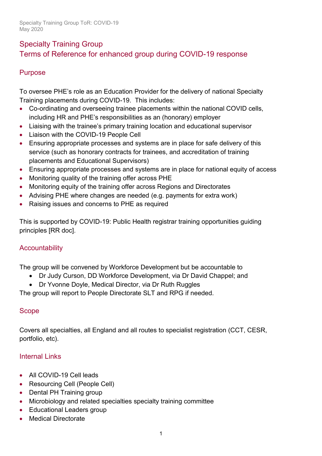# Specialty Training Group Terms of Reference for enhanced group during COVID-19 response

# Purpose

To oversee PHE's role as an Education Provider for the delivery of national Specialty Training placements during COVID-19. This includes:

- Co-ordinating and overseeing trainee placements within the national COVID cells, including HR and PHE's responsibilities as an (honorary) employer
- Liaising with the trainee's primary training location and educational supervisor
- Liaison with the COVID-19 People Cell
- Ensuring appropriate processes and systems are in place for safe delivery of this service (such as honorary contracts for trainees, and accreditation of training placements and Educational Supervisors)
- Ensuring appropriate processes and systems are in place for national equity of access
- Monitoring quality of the training offer across PHE
- Monitoring equity of the training offer across Regions and Directorates
- Advising PHE where changes are needed (e.g. payments for extra work)
- Raising issues and concerns to PHE as required

This is supported by COVID-19: Public Health registrar training opportunities guiding principles [RR doc].

# **Accountability**

The group will be convened by Workforce Development but be accountable to

- Dr Judy Curson, DD Workforce Development, via Dr David Chappel; and
- Dr Yvonne Doyle, Medical Director, via Dr Ruth Ruggles

The group will report to People Directorate SLT and RPG if needed.

### Scope

Covers all specialties, all England and all routes to specialist registration (CCT, CESR, portfolio, etc).

# Internal Links

- All COVID-19 Cell leads
- Resourcing Cell (People Cell)
- Dental PH Training group
- Microbiology and related specialties specialty training committee
- Educational Leaders group
- Medical Directorate